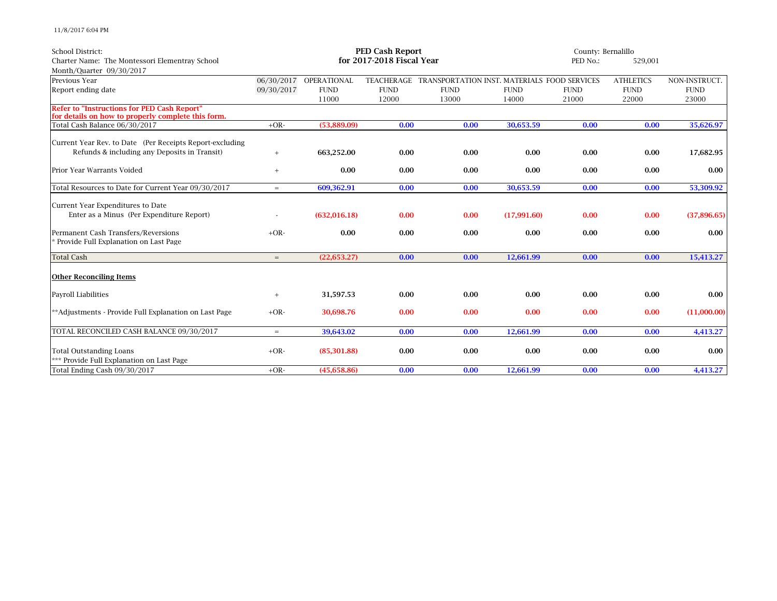11/8/2017 6:04 PM

| <b>School District:</b>                                                                                  | <b>PED Cash Report</b>    |                        |             |                                              |             | County: Bernalillo |                     |               |  |
|----------------------------------------------------------------------------------------------------------|---------------------------|------------------------|-------------|----------------------------------------------|-------------|--------------------|---------------------|---------------|--|
| Charter Name: The Montessori Elementray School                                                           | for 2017-2018 Fiscal Year |                        |             |                                              |             |                    | PED No.:<br>529,001 |               |  |
| Month/Quarter 09/30/2017                                                                                 |                           |                        |             |                                              |             |                    |                     |               |  |
| Previous Year                                                                                            |                           | 06/30/2017 OPERATIONAL | TEACHERAGE  | TRANSPORTATION INST. MATERIALS FOOD SERVICES |             |                    | <b>ATHLETICS</b>    | NON-INSTRUCT. |  |
| Report ending date                                                                                       | 09/30/2017                | <b>FUND</b>            | <b>FUND</b> | <b>FUND</b>                                  | <b>FUND</b> | <b>FUND</b>        | <b>FUND</b>         | <b>FUND</b>   |  |
|                                                                                                          |                           | 11000                  | 12000       | 13000                                        | 14000       | 21000              | 22000               | 23000         |  |
| <b>Refer to "Instructions for PED Cash Report"</b><br>for details on how to properly complete this form. |                           |                        |             |                                              |             |                    |                     |               |  |
| Total Cash Balance 06/30/2017                                                                            | $+OR-$                    | (53,889.09)            | 0.00        | 0.00                                         | 30,653.59   | 0.00               | 0.00                | 35,626.97     |  |
|                                                                                                          |                           |                        |             |                                              |             |                    |                     |               |  |
| Current Year Rev. to Date (Per Receipts Report-excluding                                                 |                           |                        |             |                                              |             |                    |                     |               |  |
| Refunds & including any Deposits in Transit)                                                             | $+$                       | 663,252.00             | 0.00        | 0.00                                         | 0.00        | 0.00               | 0.00                | 17,682.95     |  |
| Prior Year Warrants Voided                                                                               | $+$                       | 0.00                   | 0.00        | 0.00                                         | 0.00        | 0.00               | 0.00                | 0.00          |  |
| Total Resources to Date for Current Year 09/30/2017                                                      | $=$                       | 609,362.91             | 0.00        | 0.00                                         | 30,653.59   | 0.00               | 0.00                | 53,309.92     |  |
| Current Year Expenditures to Date                                                                        |                           |                        |             |                                              |             |                    |                     |               |  |
| Enter as a Minus (Per Expenditure Report)                                                                |                           | (632, 016.18)          | 0.00        | 0.00                                         | (17,991.60) | 0.00               | 0.00                | (37,896.65)   |  |
| Permanent Cash Transfers/Reversions<br>* Provide Full Explanation on Last Page                           | $+OR-$                    | 0.00                   | 0.00        | 0.00                                         | 0.00        | 0.00               | 0.00                | 0.00          |  |
| <b>Total Cash</b>                                                                                        | $=$                       | (22, 653.27)           | 0.00        | 0.00                                         | 12,661.99   | 0.00               | 0.00                | 15,413.27     |  |
| <b>Other Reconciling Items</b>                                                                           |                           |                        |             |                                              |             |                    |                     |               |  |
| Payroll Liabilities                                                                                      | $+$                       | 31,597.53              | 0.00        | 0.00                                         | 0.00        | 0.00               | 0.00                | 0.00          |  |
| **Adjustments - Provide Full Explanation on Last Page                                                    | $+OR-$                    | 30,698.76              | 0.00        | 0.00                                         | 0.00        | 0.00               | 0.00                | (11,000.00)   |  |
| TOTAL RECONCILED CASH BALANCE 09/30/2017                                                                 | $=$                       | 39,643.02              | 0.00        | 0.00                                         | 12,661.99   | 0.00               | 0.00                | 4,413.27      |  |
| <b>Total Outstanding Loans</b><br>*** Provide Full Explanation on Last Page                              | $+OR-$                    | (85, 301.88)           | 0.00        | 0.00                                         | 0.00        | 0.00               | 0.00                | 0.00          |  |
| Total Ending Cash 09/30/2017                                                                             | $+OR-$                    | (45,658.86)            | 0.00        | 0.00                                         | 12.661.99   | 0.00               | 0.00                | 4,413.27      |  |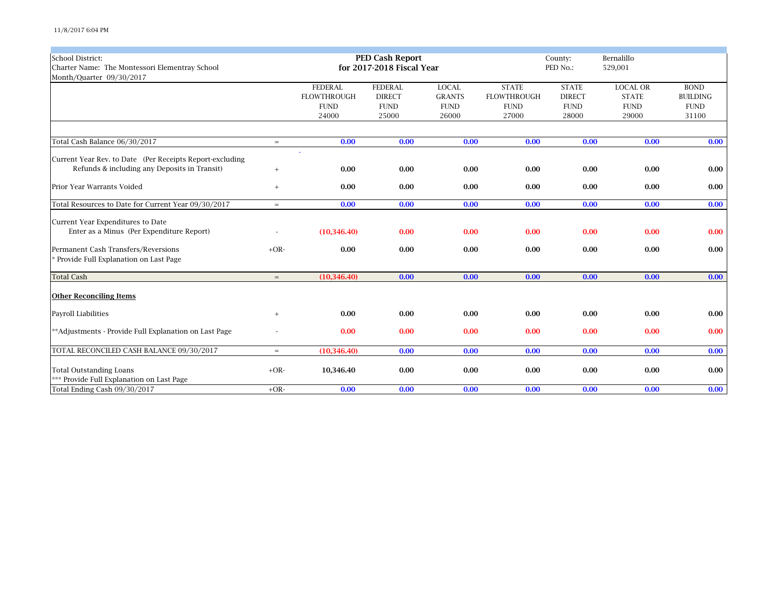| <b>School District:</b>                                  |                   |                    | <b>PED Cash Report</b>    |               |                     | County:       | Bernalillo      |                 |
|----------------------------------------------------------|-------------------|--------------------|---------------------------|---------------|---------------------|---------------|-----------------|-----------------|
| Charter Name: The Montessori Elementray School           |                   |                    | for 2017-2018 Fiscal Year |               | PED No.:<br>529,001 |               |                 |                 |
| Month/Quarter 09/30/2017                                 |                   |                    |                           |               |                     |               |                 |                 |
|                                                          |                   | <b>FEDERAL</b>     | <b>FEDERAL</b>            | <b>LOCAL</b>  | <b>STATE</b>        | <b>STATE</b>  | <b>LOCAL OR</b> | <b>BOND</b>     |
|                                                          |                   | <b>FLOWTHROUGH</b> | <b>DIRECT</b>             | <b>GRANTS</b> | <b>FLOWTHROUGH</b>  | <b>DIRECT</b> | <b>STATE</b>    | <b>BUILDING</b> |
|                                                          |                   | <b>FUND</b>        | ${\rm FUND}$              | <b>FUND</b>   | <b>FUND</b>         | <b>FUND</b>   | <b>FUND</b>     | <b>FUND</b>     |
|                                                          |                   | 24000              | 25000                     | 26000         | 27000               | 28000         | 29000           | 31100           |
|                                                          |                   |                    |                           |               |                     |               |                 |                 |
| Total Cash Balance 06/30/2017                            | $=$               | 0.00               | 0.00                      | 0.00          | 0.00                | 0.00          | 0.00            | 0.00            |
| Current Year Rev. to Date (Per Receipts Report-excluding |                   |                    |                           |               |                     |               |                 |                 |
| Refunds & including any Deposits in Transit)             | $\qquad \qquad +$ | 0.00               | 0.00                      | 0.00          | 0.00                | 0.00          | 0.00            | 0.00            |
| Prior Year Warrants Voided                               | $^{+}$            | 0.00               | 0.00                      | 0.00          | 0.00                | 0.00          | 0.00            | 0.00            |
| Total Resources to Date for Current Year 09/30/2017      | $=$               | 0.00               | 0.00                      | 0.00          | 0.00                | 0.00          | 0.00            | 0.00            |
| Current Year Expenditures to Date                        |                   |                    |                           |               |                     |               |                 |                 |
| Enter as a Minus (Per Expenditure Report)                |                   | (10, 346.40)       | 0.00                      | 0.00          | 0.00                | 0.00          | 0.00            | 0.00            |
| Permanent Cash Transfers/Reversions                      | $+OR-$            | 0.00               | 0.00                      | 0.00          | 0.00                | 0.00          | 0.00            | 0.00            |
| * Provide Full Explanation on Last Page                  |                   |                    |                           |               |                     |               |                 |                 |
| <b>Total Cash</b>                                        | $=$               | (10, 346.40)       | 0.00                      | 0.00          | 0.00                | 0.00          | 0.00            | 0.00            |
| <b>Other Reconciling Items</b>                           |                   |                    |                           |               |                     |               |                 |                 |
| Payroll Liabilities                                      | $^{+}$            | 0.00               | 0.00                      | 0.00          | 0.00                | 0.00          | 0.00            | 0.00            |
| ** Adjustments - Provide Full Explanation on Last Page   |                   | 0.00               | 0.00                      | 0.00          | 0.00                | 0.00          | 0.00            | 0.00            |
| TOTAL RECONCILED CASH BALANCE 09/30/2017                 | $=$               | (10, 346.40)       | 0.00                      | 0.00          | 0.00                | 0.00          | 0.00            | 0.00            |
| <b>Total Outstanding Loans</b>                           | $+OR-$            | 10,346.40          | 0.00                      | 0.00          | 0.00                | 0.00          | 0.00            | 0.00            |
| *** Provide Full Explanation on Last Page                |                   |                    |                           |               |                     |               |                 |                 |
| Total Ending Cash 09/30/2017                             | $+OR-$            | 0.00               | 0.00                      | 0.00          | 0.00                | 0.00          | 0.00            | 0.00            |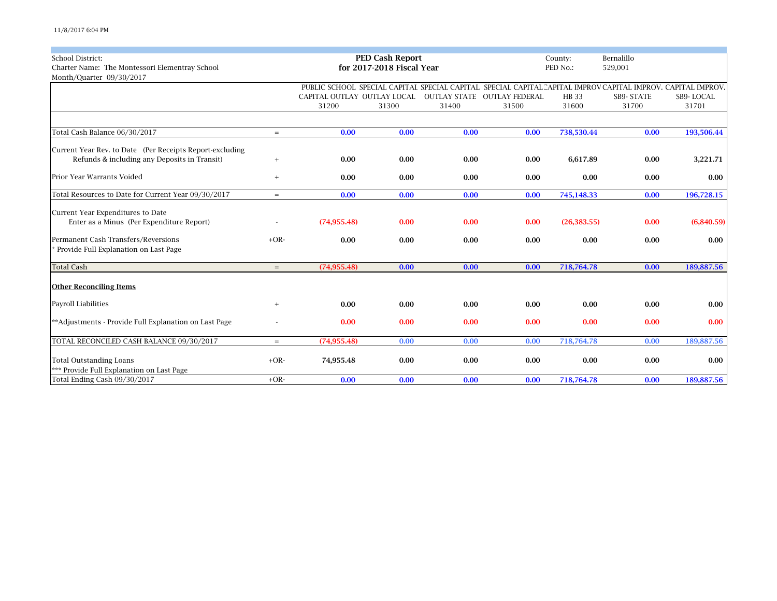| <b>School District:</b>                                  |        |                             | <b>PED Cash Report</b><br>for 2017-2018 Fiscal Year |       |                                    | County:      | Bernalillo                                                                                                   |            |
|----------------------------------------------------------|--------|-----------------------------|-----------------------------------------------------|-------|------------------------------------|--------------|--------------------------------------------------------------------------------------------------------------|------------|
| Charter Name: The Montessori Elementray School           |        |                             |                                                     |       |                                    | PED No.:     | 529,001                                                                                                      |            |
| Month/Quarter 09/30/2017                                 |        |                             |                                                     |       |                                    |              |                                                                                                              |            |
|                                                          |        |                             |                                                     |       |                                    |              | PUBLIC SCHOOL SPECIAL CAPITAI SPECIAL CAPITAL SPECIAL CAPITAL CAPITAL IMPROV CAPITAL IMPROV, CAPITAL IMPROV, |            |
|                                                          |        | CAPITAL OUTLAY OUTLAY LOCAL |                                                     |       | <b>OUTLAY STATE OUTLAY FEDERAL</b> | HB 33        | SB9-STATE                                                                                                    | SB9-LOCAL  |
|                                                          |        | 31200                       | 31300                                               | 31400 | 31500                              | 31600        | 31700                                                                                                        | 31701      |
|                                                          |        |                             |                                                     |       |                                    |              |                                                                                                              |            |
| Total Cash Balance 06/30/2017                            | $=$    | 0.00                        | 0.00                                                | 0.00  | 0.00                               | 738,530.44   | 0.00                                                                                                         | 193,506.44 |
| Current Year Rev. to Date (Per Receipts Report-excluding |        |                             |                                                     |       |                                    |              |                                                                                                              |            |
| Refunds & including any Deposits in Transit)             | $^{+}$ | 0.00                        | 0.00                                                | 0.00  | 0.00                               | 6,617.89     | 0.00                                                                                                         | 3,221.71   |
| Prior Year Warrants Voided                               | $+$    | 0.00                        | 0.00                                                | 0.00  | 0.00                               | 0.00         | 0.00                                                                                                         | 0.00       |
| Total Resources to Date for Current Year 09/30/2017      | $=$    | 0.00                        | 0.00                                                | 0.00  | 0.00                               | 745,148.33   | 0.00                                                                                                         | 196,728.15 |
|                                                          |        |                             |                                                     |       |                                    |              |                                                                                                              |            |
| Current Year Expenditures to Date                        |        |                             |                                                     |       |                                    |              |                                                                                                              |            |
| Enter as a Minus (Per Expenditure Report)                |        | (74, 955, 48)               | 0.00                                                | 0.00  | 0.00                               | (26, 383.55) | 0.00                                                                                                         | (6,840.59) |
| Permanent Cash Transfers/Reversions                      | $+OR-$ | 0.00                        | 0.00                                                | 0.00  | 0.00                               | 0.00         | 0.00                                                                                                         | 0.00       |
| * Provide Full Explanation on Last Page                  |        |                             |                                                     |       |                                    |              |                                                                                                              |            |
| <b>Total Cash</b>                                        | $=$    | (74, 955.48)                | 0.00                                                | 0.00  | 0.00                               | 718,764.78   | 0.00                                                                                                         | 189,887.56 |
|                                                          |        |                             |                                                     |       |                                    |              |                                                                                                              |            |
| <b>Other Reconciling Items</b>                           |        |                             |                                                     |       |                                    |              |                                                                                                              |            |
| Payroll Liabilities                                      | $^{+}$ | 0.00                        | 0.00                                                | 0.00  | 0.00                               | 0.00         | 0.00                                                                                                         | 0.00       |
| **Adjustments - Provide Full Explanation on Last Page    |        | 0.00                        | 0.00                                                | 0.00  | 0.00                               | 0.00         | 0.00                                                                                                         | 0.00       |
|                                                          |        |                             |                                                     |       |                                    |              |                                                                                                              |            |
| TOTAL RECONCILED CASH BALANCE 09/30/2017                 | $=$    | (74, 955.48)                | 0.00                                                | 0.00  | 0.00                               | 718,764.78   | 0.00                                                                                                         | 189,887.56 |
| <b>Total Outstanding Loans</b>                           | $+OR-$ | 74,955.48                   | 0.00                                                | 0.00  | 0.00                               | 0.00         | 0.00                                                                                                         | 0.00       |
| *** Provide Full Explanation on Last Page                |        |                             |                                                     |       |                                    |              |                                                                                                              |            |
| Total Ending Cash 09/30/2017                             | $+OR-$ | 0.00                        | 0.00                                                | 0.00  | 0.00                               | 718,764.78   | 0.00                                                                                                         | 189,887.56 |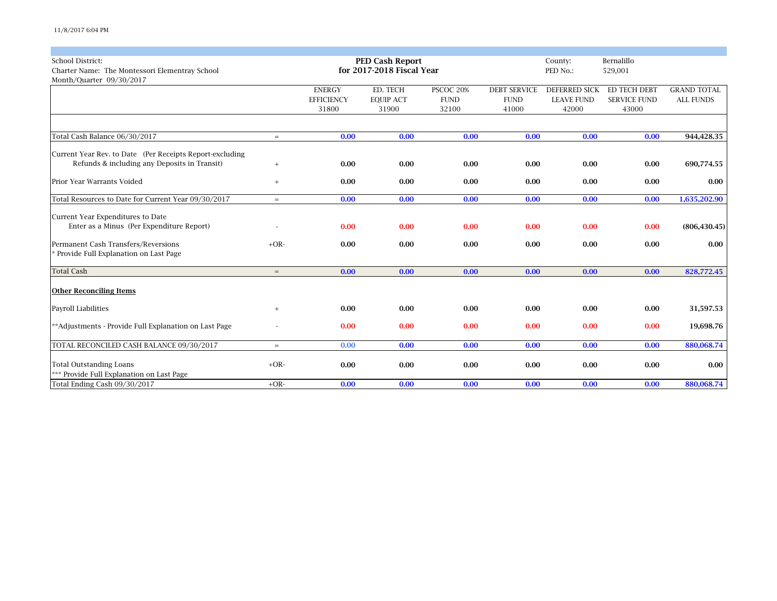| <b>School District:</b>                                  |          | <b>PED Cash Report</b> |                           |             | Bernalillo<br>County: |                   |                     |                    |  |
|----------------------------------------------------------|----------|------------------------|---------------------------|-------------|-----------------------|-------------------|---------------------|--------------------|--|
| Charter Name: The Montessori Elementray School           |          |                        | for 2017-2018 Fiscal Year |             |                       | PED No.:          | 529,001             |                    |  |
| Month/Quarter 09/30/2017                                 |          |                        |                           |             |                       |                   |                     |                    |  |
|                                                          |          | <b>ENERGY</b>          | ED. TECH                  | PSCOC 20%   | <b>DEBT SERVICE</b>   | DEFERRED SICK     | ED TECH DEBT        | <b>GRAND TOTAL</b> |  |
|                                                          |          | <b>EFFICIENCY</b>      | <b>EQUIP ACT</b>          | <b>FUND</b> | <b>FUND</b>           | <b>LEAVE FUND</b> | <b>SERVICE FUND</b> | <b>ALL FUNDS</b>   |  |
|                                                          |          | 31800                  | 31900                     | 32100       | 41000                 | 42000             | 43000               |                    |  |
|                                                          |          |                        |                           |             |                       |                   |                     |                    |  |
| Total Cash Balance 06/30/2017                            | $=$      | 0.00                   | 0.00                      | 0.00        | 0.00                  | 0.00              | 0.00                | 944,428.35         |  |
| Current Year Rev. to Date (Per Receipts Report-excluding |          |                        |                           |             |                       |                   |                     |                    |  |
| Refunds & including any Deposits in Transit)             | $^{+}$   | 0.00                   | 0.00                      | 0.00        | 0.00                  | 0.00              | 0.00                | 690,774.55         |  |
|                                                          |          |                        |                           |             |                       |                   |                     |                    |  |
| Prior Year Warrants Voided                               | $^{+}$   | 0.00                   | 0.00                      | 0.00        | 0.00                  | 0.00              | 0.00                | 0.00               |  |
| Total Resources to Date for Current Year 09/30/2017      | $\equiv$ | 0.00                   | 0.00                      | 0.00        | 0.00                  | 0.00              | 0.00                | 1,635,202.90       |  |
|                                                          |          |                        |                           |             |                       |                   |                     |                    |  |
| Current Year Expenditures to Date                        |          |                        |                           |             |                       |                   |                     |                    |  |
| Enter as a Minus (Per Expenditure Report)                |          | 0.00                   | 0.00                      | 0.00        | 0.00                  | 0.00              | 0.00                | (806, 430.45)      |  |
| Permanent Cash Transfers/Reversions                      | $+OR-$   | 0.00                   | 0.00                      | 0.00        | 0.00                  | 0.00              | 0.00                | 0.00               |  |
| * Provide Full Explanation on Last Page                  |          |                        |                           |             |                       |                   |                     |                    |  |
| <b>Total Cash</b>                                        | $=$      | 0.00                   | 0.00                      | 0.00        | 0.00                  | 0.00              | 0.00                | 828,772.45         |  |
|                                                          |          |                        |                           |             |                       |                   |                     |                    |  |
| <b>Other Reconciling Items</b>                           |          |                        |                           |             |                       |                   |                     |                    |  |
| Payroll Liabilities                                      | $^{+}$   | 0.00                   | 0.00                      | 0.00        | 0.00                  | 0.00              | 0.00                | 31,597.53          |  |
| **Adjustments - Provide Full Explanation on Last Page    |          | 0.00                   | 0.00                      | 0.00        | 0.00                  | 0.00              | 0.00                | 19,698.76          |  |
|                                                          |          |                        |                           |             |                       |                   |                     |                    |  |
| TOTAL RECONCILED CASH BALANCE 09/30/2017                 | $=$      | 0.00                   | 0.00                      | 0.00        | 0.00                  | 0.00              | 0.00                | 880,068.74         |  |
| <b>Total Outstanding Loans</b>                           | $+OR-$   | 0.00                   | 0.00                      | 0.00        | 0.00                  | 0.00              | 0.00                | 0.00               |  |
| *** Provide Full Explanation on Last Page                |          |                        |                           |             |                       |                   |                     |                    |  |
| Total Ending Cash 09/30/2017                             | $+OR-$   | 0.00                   | 0.00                      | 0.00        | 0.00                  | 0.00              | 0.00                | 880,068.74         |  |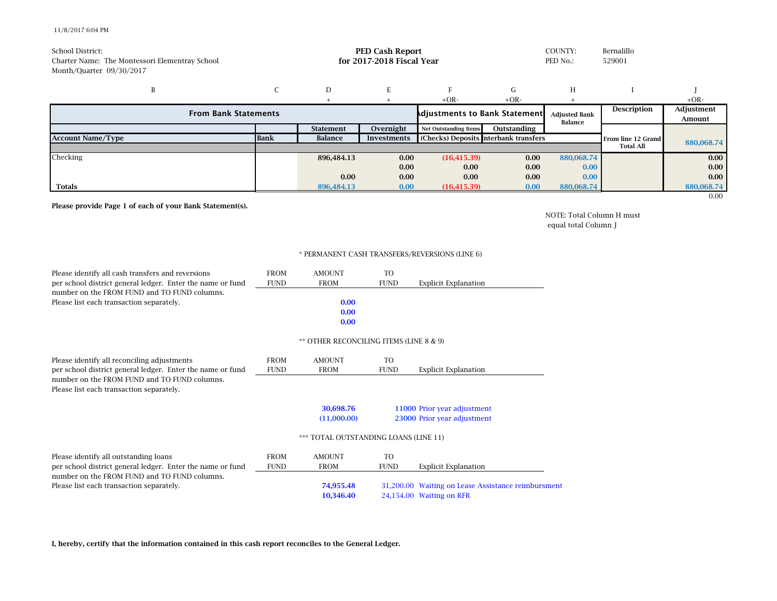## 11/8/2017 6:04 PM

| School District:<br>Charter Name: The Montessori Elementray School<br>Month/Quarter 09/30/2017 |             | <b>PED Cash Report</b><br>COUNTY:<br>for 2017-2018 Fiscal Year<br>PED No.: |             |                                       |             |             | Bernalillo<br>529001 |                   |
|------------------------------------------------------------------------------------------------|-------------|----------------------------------------------------------------------------|-------------|---------------------------------------|-------------|-------------|----------------------|-------------------|
| B                                                                                              | ⌒           | D                                                                          |             |                                       | G           | Н           |                      |                   |
|                                                                                                |             |                                                                            |             | $+OR-$                                | $+OR-$      |             |                      | $+OR-$            |
| <b>From Bank Statements</b><br><b>Adjustments to Bank Statement</b>                            |             |                                                                            |             | <b>Adjusted Bank</b><br>Balance       |             | Description | Adjustment<br>Amount |                   |
|                                                                                                |             | <b>Statement</b>                                                           | Overnight   | <b>Net Outstanding Items</b>          | Outstanding |             |                      |                   |
| <b>Account Name/Type</b>                                                                       | <b>Bank</b> | Balance                                                                    | Investments | (Checks) Deposits Interbank transfers |             |             | From line 12 Grand   | 880,068.74        |
|                                                                                                |             |                                                                            |             |                                       |             |             | <b>Total All</b>     |                   |
| Checking                                                                                       |             | 896,484.13                                                                 | 0.00        | (16, 415.39)                          | 0.00        | 880,068.74  |                      | 0.00              |
|                                                                                                |             |                                                                            | 0.00        | 0.00                                  | 0.00        | 0.00        |                      | 0.00 <sub>1</sub> |
|                                                                                                |             | 0.00                                                                       | 0.00        | 0.00                                  | 0.00        | 0.00        |                      | 0.00              |
| <b>Totals</b>                                                                                  |             | 896,484.13                                                                 | 0.00        | (16, 415.39)                          | 0.00        | 880,068.74  |                      | 880,068.74        |
|                                                                                                |             |                                                                            |             |                                       |             |             |                      | 0.00              |

**Please provide Page 1 of each of your Bank Statement(s).**

NOTE: Total Column H must equal total Column J

## \* PERMANENT CASH TRANSFERS/REVERSIONS (LINE 6)

| Please identify all cash transfers and reversions                                                          | <b>FROM</b> | <b>AMOUNT</b>                           | TO.                         |                                                    |
|------------------------------------------------------------------------------------------------------------|-------------|-----------------------------------------|-----------------------------|----------------------------------------------------|
| per school district general ledger. Enter the name or fund<br>number on the FROM FUND and TO FUND columns. | <b>FUND</b> | <b>FROM</b>                             | <b>FUND</b>                 | <b>Explicit Explanation</b>                        |
| Please list each transaction separately.                                                                   |             | 0.00<br>0.00<br>0.00                    |                             |                                                    |
|                                                                                                            |             | ** OTHER RECONCILING ITEMS (LINE 8 & 9) |                             |                                                    |
| Please identify all reconciling adjustments                                                                | <b>FROM</b> | <b>AMOUNT</b>                           | TO                          |                                                    |
| per school district general ledger. Enter the name or fund                                                 | <b>FUND</b> | <b>FROM</b>                             | <b>FUND</b>                 | <b>Explicit Explanation</b>                        |
| number on the FROM FUND and TO FUND columns.<br>Please list each transaction separately.                   |             |                                         |                             |                                                    |
|                                                                                                            |             | 30,698.76                               |                             | 11000 Prior year adjustment                        |
|                                                                                                            |             | (11,000.00)                             | 23000 Prior year adjustment |                                                    |
|                                                                                                            |             | *** TOTAL OUTSTANDING LOANS (LINE 11)   |                             |                                                    |
| Please identify all outstanding loans                                                                      | <b>FROM</b> | <b>AMOUNT</b>                           | <b>TO</b>                   |                                                    |
| per school district general ledger. Enter the name or fund                                                 | <b>FUND</b> | <b>FROM</b>                             | <b>FUND</b>                 | <b>Explicit Explanation</b>                        |
| number on the FROM FUND and TO FUND columns.                                                               |             |                                         |                             |                                                    |
| Please list each transaction separately.                                                                   |             | 74,955.48                               |                             | 31,200.00 Waiting on Lease Assistance reimbursment |
|                                                                                                            |             | 10,346.40                               |                             | 24,154.00 Waiting on RFR                           |

**I, hereby, certify that the information contained in this cash report reconciles to the General Ledger.**